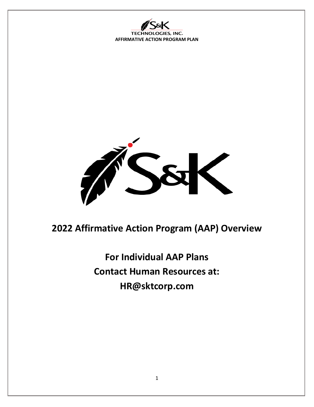ES, INC. **TECHN AFFIRMATIVE ACTION PROGRAM PLAN**



**2022 Affirmative Action Program (AAP) Overview**

**For Individual AAP Plans Contact Human Resources at: HR@sktcorp.com**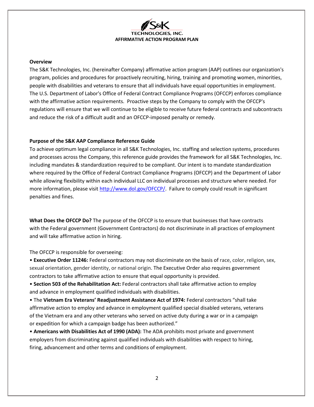

#### **Overview**

The S&K Technologies, Inc. (hereinafter Company) [affirmative action program \(AAP\)](https://www.shrm.org/ResourcesAndTools/tools-and-samples/hr-qa/Pages/whatisanaap.aspx) outlines our organization's program, policies and procedures for proactively recruiting, hiring, training and promoting women, minorities, people with disabilities and veterans to ensure that all individuals have equal opportunities in employment. The U.S. Department of Labor's Office of Federal Contract Compliance Programs (OFCCP) enforces compliance with the affirmative action requirements. Proactive steps by the Company to comply with the OFCCP's regulations will ensure that we will continue to be eligible to receive future federal contracts and subcontracts and reduce the risk of a difficult audit and an OFCCP-imposed penalty or remedy.

#### **Purpose of the S&K AAP Compliance Reference Guide**

To achieve optimum legal compliance in all S&K Technologies, Inc. staffing and selection systems, procedures and processes across the Company, this reference guide provides the framework for all S&K Technologies, Inc. including mandates & standardization required to be compliant. Our intent is to mandate standardization where required by the Office of Federal Contract Compliance Programs (OFCCP) and the Department of Labor while allowing flexibility within each individual LLC on individual processes and structure where needed. For more information, please visit [http://www.dol.gov/OFCCP/.](http://www.dol.gov/OFCCP/) Failure to comply could result in significant penalties and fines.

**What Does the OFCCP Do?** The purpose of the OFCCP is to ensure that businesses that have contracts with the Federal government (Government Contractors) do not discriminate in all practices of employment and will take affirmative action in hiring.

The OFCCP is responsible for overseeing:

• **Executive Order 11246:** Federal contractors may not discriminate on the basis of race, color, religion, sex, sexual orientation, gender identity, or national origin. The Executive Order also requires government contractors to take affirmative action to ensure that equal opportunity is provided.

• **Section 503 of the Rehabilitation Act:** Federal contractors shall take affirmative action to employ and advance in employment qualified individuals with disabilities.

• The **Vietnam Era Veterans' Readjustment Assistance Act of 1974:** Federal contractors "shall take affirmative action to employ and advance in employment qualified special disabled veterans, veterans of the Vietnam era and any other veterans who served on active duty during a war or in a campaign or expedition for which a campaign badge has been authorized."

• **Americans with Disabilities Act of 1990 (ADA):** The ADA prohibits most private and government employers from discriminating against qualified individuals with disabilities with respect to hiring, firing, advancement and other terms and conditions of employment.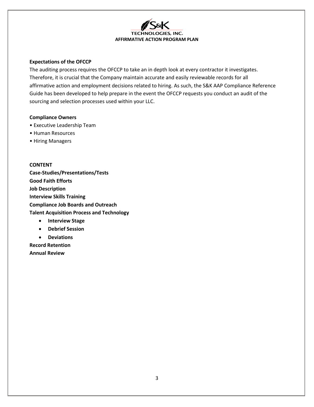

#### **Expectations of the OFCCP**

The auditing process requires the OFCCP to take an in depth look at every contractor it investigates. Therefore, it is crucial that the Company maintain accurate and easily reviewable records for all affirmative action and employment decisions related to hiring. As such, the S&K AAP Compliance Reference Guide has been developed to help prepare in the event the OFCCP requests you conduct an audit of the sourcing and selection processes used within your LLC.

### **Compliance Owners**

- Executive Leadership Team
- Human Resources
- Hiring Managers

**CONTENT Case-Studies/Presentations/Tests Good Faith Efforts Job Description Interview Skills Training Compliance Job Boards and Outreach Talent Acquisition Process and Technology**

- **Interview Stage**
- **Debrief Session**
- **Deviations**

**Record Retention Annual Review**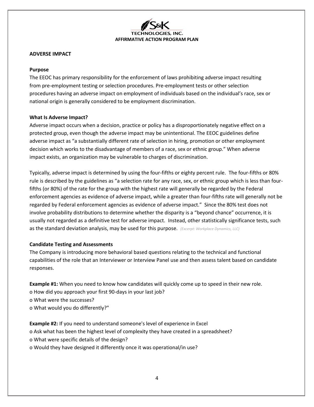### **ADVERSE IMPACT**

### **Purpose**

The EEOC has primary responsibility for the enforcement of laws prohibiting adverse impact resulting from pre-employment testing or selection procedures. Pre-employment tests or other selection procedures having an adverse impact on employment of individuals based on the individual's race, sex or national origin is generally considered to be employment discrimination.

# **What Is Adverse Impact?**

Adverse impact occurs when a decision, practice or policy has a disproportionately negative effect on a protected group, even though the adverse impact may be unintentional. The EEOC guidelines define adverse impact as "a substantially different rate of selection in hiring, promotion or other employment decision which works to the disadvantage of members of a race, sex or ethnic group." When adverse impact exists, an organization may be vulnerable to charges of discrimination.

Typically, adverse impact is determined by using the four-fifths or eighty percent rule. The four-fifths or 80% rule is described by the guidelines as "a selection rate for any race, sex, or ethnic group which is less than fourfifths (or 80%) of the rate for the group with the highest rate will generally be regarded by the Federal enforcement agencies as evidence of adverse impact, while a greater than four-fifths rate will generally not be regarded by Federal enforcement agencies as evidence of adverse impact." Since the 80% test does not involve probability distributions to determine whether the disparity is a "beyond chance" occurrence, it is usually not regarded as a definitive test for adverse impact. Instead, other statistically significance tests, such as the standard deviation analysis, may be used for this purpose. *(Excerpt: Workplace Dynamics, LLC)*

# **Candidate Testing and Assessments**

The Company is introducing more behavioral based questions relating to the technical and functional capabilities of the role that an Interviewer or Interview Panel use and then assess talent based on candidate responses.

**Example #1:** When you need to know how candidates will quickly come up to speed in their new role. o How did you approach your first 90-days in your last job? o What were the successes? o What would you do differently?"

**Example #2:** If you need to understand someone's level of experience in Excel o Ask what has been the highest level of complexity they have created in a spreadsheet? o What were specific details of the design? o Would they have designed it differently once it was operational/in use?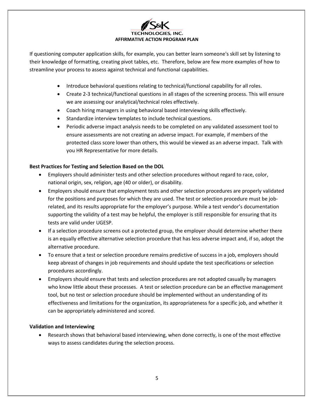If questioning computer application skills, for example, you can better learn someone's skill set by listening to their knowledge of formatting, creating pivot tables, etc. Therefore, below are few more examples of how to streamline your process to assess against technical and functional capabilities.

- Introduce behavioral questions relating to technical/functional capability for all roles.
- Create 2-3 technical/functional questions in all stages of the screening process. This will ensure we are assessing our analytical/technical roles effectively.
- Coach hiring managers in using behavioral based interviewing skills effectively.
- Standardize interview templates to include technical questions.
- Periodic adverse impact analysis needs to be completed on any validated assessment tool to ensure assessments are not creating an adverse impact. For example, if members of the protected class score lower than others, this would be viewed as an adverse impact. Talk with you HR Representative for more details.

# **Best Practices for Testing and Selection Based on the DOL**

- Employers should administer tests and other selection procedures without regard to race, color, national origin, sex, religion, age (40 or older), or disability.
- Employers should ensure that employment tests and other selection procedures are properly validated for the positions and purposes for which they are used. The test or selection procedure must be jobrelated, and its results appropriate for the employer's purpose. While a test vendor's documentation supporting the validity of a test may be helpful, the employer is still responsible for ensuring that its tests are valid under UGESP.
- If a selection procedure screens out a protected group, the employer should determine whether there is an equally effective alternative selection procedure that has less adverse impact and, if so, adopt the alternative procedure.
- To ensure that a test or selection procedure remains predictive of success in a job, employers should keep abreast of changes in job requirements and should update the test specifications or selection procedures accordingly.
- Employers should ensure that tests and selection procedures are not adopted casually by managers who know little about these processes. A test or selection procedure can be an effective management tool, but no test or selection procedure should be implemented without an understanding of its effectiveness and limitations for the organization, its appropriateness for a specific job, and whether it can be appropriately administered and scored.

# **Validation and Interviewing**

• Research shows that behavioral based interviewing, when done correctly, is one of the most effective ways to assess candidates during the selection process.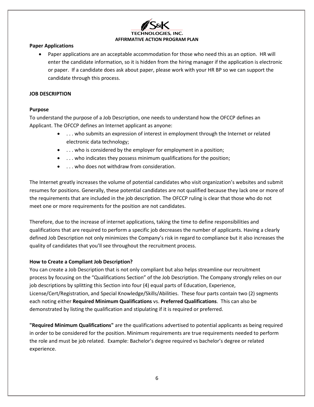### **Paper Applications**

• Paper applications are an acceptable accommodation for those who need this as an option. HR will enter the candidate information, so it is hidden from the hiring manager if the application is electronic or paper. If a candidate does ask about paper, please work with your HR BP so we can support the candidate through this process.

## **JOB DESCRIPTION**

# **Purpose**

To understand the purpose of a Job Description, one needs to understand how the OFCCP defines an Applicant. The OFCCP defines an Internet applicant as anyone:

- . . . who submits an expression of interest in employment through the Internet or related electronic data technology;
- . . . who is considered by the employer for employment in a position;
- . . . who indicates they possess minimum qualifications for the position;
- . . . who does not withdraw from consideration.

The Internet greatly increases the volume of potential candidates who visit organization's websites and submit resumes for positions. Generally, these potential candidates are not qualified because they lack one or more of the requirements that are included in the job description. The OFCCP ruling is clear that those who do not meet one or more requirements for the position are not candidates.

Therefore, due to the increase of internet applications, taking the time to define responsibilities and qualifications that are required to perform a specific job decreases the number of applicants. Having a clearly defined Job Description not only minimizes the Company's risk in regard to compliance but it also increases the quality of candidates that you'll see throughout the recruitment process.

# **How to Create a Compliant Job Description?**

You can create a Job Description that is not only compliant but also helps streamline our recruitment process by focusing on the "Qualifications Section" of the Job Description. The Company strongly relies on our job descriptions by splitting this Section into four (4) equal parts of Education, Experience, License/Cert/Registration, and Special Knowledge/Skills/Abilities. These four parts contain two (2) segments each noting either **Required Minimum Qualifications** vs. **Preferred Qualifications**. This can also be demonstrated by listing the qualification and stipulating if it is required or preferred.

**"Required Minimum Qualifications"** are the qualifications advertised to potential applicants as being required in order to be considered for the position. Minimum requirements are true requirements needed to perform the role and must be job related. Example: Bachelor's degree required vs bachelor's degree or related experience.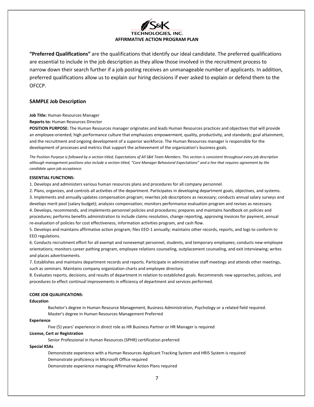

**"Preferred Qualifications"** are the qualifications that identify our ideal candidate. The preferred qualifications are essential to include in the job description as they allow those involved in the recruitment process to narrow down their search further if a job posting receives an unmanageable number of applicants. In addition, preferred qualifications allow us to explain our hiring decisions if ever asked to explain or defend them to the OFCCP.

#### **SAMPLE Job Description**

**Job Title:** Human Resources Manager

#### **Reports to:** Human Resources Director

**POSITION PURPOSE:** The Human Resources manager originates and leads Human Resources practices and objectives that will provide an employee-oriented; high performance culture that emphasizes empowerment, quality, productivity, and standards; goal attainment, and the recruitment and ongoing development of a superior workforce. The Human Resources manager is responsible for the development of processes and metrics that support the achievement of the organization's business goals.

The Position Purpose is followed by a section titled, Expectations of All S&K Team Members. This section is consistent throughout every job description *although management positions also include a section titled, "Core Manager Behavioral Expectations" and a line that requires agreement by the candidate upon job acceptance.*

#### **ESSENTIAL FUNCTIONS:**

1. Develops and administers various human resources plans and procedures for all company personnel.

2. Plans, organizes, and controls all activities of the department. Participates in developing department goals, objectives, and systems. 3. Implements and annually updates compensation program; rewrites job descriptions as necessary; conducts annual salary surveys and develops merit pool (salary budget); analyzes compensation; monitors performance evaluation program and revises as necessary. 4. Develops, recommends, and implements personnel policies and procedures; prepares and maintains handbook on policies and

procedures; performs benefits administration to include claims resolution, change reporting, approving invoices for payment, annual re-evaluation of policies for cost effectiveness, information activities program, and cash flow.

5. Develops and maintains affirmative action program; files EEO-1 annually; maintains other records, reports, and logs to conform to EEO regulations.

6. Conducts recruitment effort for all exempt and nonexempt personnel, students, and temporary employees; conducts new-employee orientations; monitors career pathing program, employee relations counseling, outplacement counseling, and exit interviewing; writes and places advertisements.

7. Establishes and maintains department records and reports. Participate in administrative staff meetings and attends other meetings, such as seminars. Maintains company organization charts and employee directory.

8. Evaluates reports, decisions, and results of department in relation to established goals. Recommends new approaches, policies, and procedures to effect continual improvements in efficiency of department and services performed.

#### **CORE JOB QUALIFICATIONS:**

#### **Education**

Bachelor's degree in Human Resource Management, Business Administration, Psychology or a related field required. Master's degree in Human Resources Management Preferred

#### **Experience**

Five (5) years' experience in direct role as HR Business Partner or HR Manager is required

#### **License, Cert or Registration**

Senior Professional in Human Resources (SPHR) certification preferred

#### **Special KSAs**

Demonstrate experience with a Human Resources Applicant Tracking System and HRIS System is required Demonstrate proficiency in Microsoft Office required Demonstrate experience managing Affirmative Action Plans required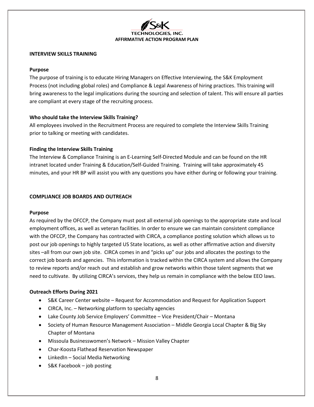

#### **INTERVIEW SKILLS TRAINING**

#### **Purpose**

The purpose of training is to educate Hiring Managers on Effective Interviewing, the S&K Employment Process (not including global roles) and Compliance & Legal Awareness of hiring practices. This training will bring awareness to the legal implications during the sourcing and selection of talent. This will ensure all parties are compliant at every stage of the recruiting process.

### **Who should take the Interview Skills Training?**

All employees involved in the Recruitment Process are required to complete the Interview Skills Training prior to talking or meeting with candidates.

#### **Finding the Interview Skills Training**

The Interview & Compliance Training is an E-Learning Self-Directed Module and can be found on the HR intranet located under Training & Education/Self-Guided Training. Training will take approximately 45 minutes, and your HR BP will assist you with any questions you have either during or following your training.

### **COMPLIANCE JOB BOARDS AND OUTREACH**

#### **Purpose**

As required by the OFCCP, the Company must post all external job openings to the appropriate state and local employment offices, as well as veteran facilities. In order to ensure we can maintain consistent compliance with the OFCCP, the Company has contracted with CIRCA, a compliance posting solution which allows us to post our job openings to highly targeted US State locations, as well as other affirmative action and diversity sites –all from our own job site. CIRCA comes in and "picks up" our jobs and allocates the postings to the correct job boards and agencies. This information is tracked within the CIRCA system and allows the Company to review reports and/or reach out and establish and grow networks within those talent segments that we need to cultivate. By utilizing CIRCA's services, they help us remain in compliance with the below EEO laws.

#### **Outreach Efforts During 2021**

- S&K Career Center website Request for Accommodation and Request for Application Support
- CIRCA, Inc. Networking platform to specialty agencies
- Lake County Job Service Employers' Committee Vice President/Chair Montana
- Society of Human Resource Management Association Middle Georgia Local Chapter & Big Sky Chapter of Montana
- Missoula Businesswomen's Network Mission Valley Chapter
- Char-Koosta Flathead Reservation Newspaper
- LinkedIn Social Media Networking
- S&K Facebook job posting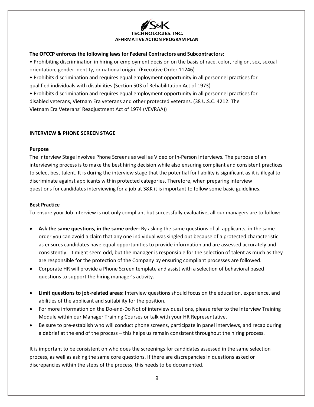

## **The OFCCP enforces the following laws for Federal Contractors and Subcontractors:**

• Prohibiting discrimination in hiring or employment decision on the basis of race, color, religion, sex, sexual orientation, gender identity, or national origin. (Executive Order 11246)

• Prohibits discrimination and requires equal employment opportunity in all personnel practices for qualified individuals with disabilities (Section 503 of Rehabilitation Act of 1973)

• Prohibits discrimination and requires equal employment opportunity in all personnel practices for disabled veterans, Vietnam Era veterans and other protected veterans. (38 U.S.C. 4212: The Vietnam Era Veterans' Readjustment Act of 1974 (VEVRAA))

### **INTERVIEW & PHONE SCREEN STAGE**

#### **Purpose**

The Interview Stage involves Phone Screens as well as Video or In-Person Interviews. The purpose of an interviewing process is to make the best hiring decision while also ensuring compliant and consistent practices to select best talent. It is during the interview stage that the potential for liability is significant as it is illegal to discriminate against applicants within protected categories. Therefore, when preparing interview questions for candidates interviewing for a job at S&K it is important to follow some basic guidelines.

## **Best Practice**

To ensure your Job Interview is not only compliant but successfully evaluative, all our managers are to follow:

- **Ask the same questions, in the same order:** By asking the same questions of all applicants, in the same order you can avoid a claim that any one individual was singled out because of a protected characteristic as ensures candidates have equal opportunities to provide information and are assessed accurately and consistently. It might seem odd, but the manager is responsible for the selection of talent as much as they are responsible for the protection of the Company by ensuring compliant processes are followed.
- Corporate HR will provide a Phone Screen template and assist with a selection of behavioral based questions to support the hiring manager's activity.
- **Limit questions to job-related areas:** Interview questions should focus on the education, experience, and abilities of the applicant and suitability for the position.
- For more information on the Do-and-Do Not of interview questions, please refer to the Interview Training Module within our Manager Training Courses or talk with your HR Representative.
- Be sure to pre-establish who will conduct phone screens, participate in panel interviews, and recap during a debrief at the end of the process – this helps us remain consistent throughout the hiring process.

It is important to be consistent on who does the screenings for candidates assessed in the same selection process, as well as asking the same core questions. If there are discrepancies in questions asked or discrepancies within the steps of the process, this needs to be documented.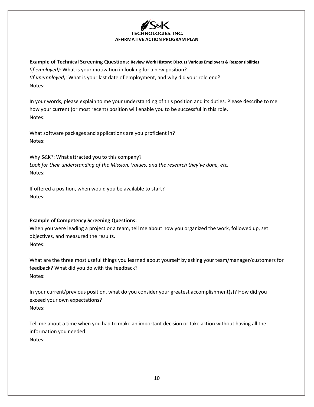

**Example of Technical Screening Questions: Review Work History: Discuss Various Employers & Responsibilities** *(if employed):* What is your motivation in looking for a new position? *(If unemployed):* What is your last date of employment, and why did your role end? Notes:

In your words, please explain to me your understanding of this position and its duties. Please describe to me how your current (or most recent) position will enable you to be successful in this role. Notes:

What software packages and applications are you proficient in? Notes:

Why S&K?: What attracted you to this company? *Look for their understanding of the Mission, Values, and the research they've done, etc.* Notes:

If offered a position, when would you be available to start? Notes:

# **Example of Competency Screening Questions:**

When you were leading a project or a team, tell me about how you organized the work, followed up, set objectives, and measured the results. Notes:

What are the three most useful things you learned about yourself by asking your team/manager/customers for feedback? What did you do with the feedback? Notes:

In your current/previous position, what do you consider your greatest accomplishment(s)? How did you exceed your own expectations? Notes:

Tell me about a time when you had to make an important decision or take action without having all the information you needed. Notes: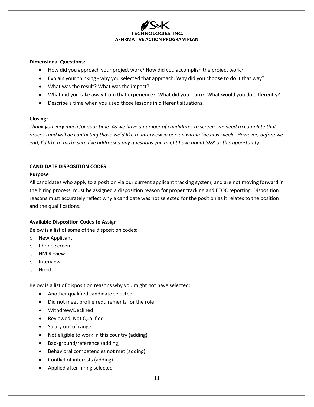

### **Dimensional Questions:**

- How did you approach your project work? How did you accomplish the project work?
- Explain your thinking why you selected that approach. Why did you choose to do it that way?
- What was the result? What was the impact?
- What did you take away from that experience? What did you learn? What would you do differently?
- Describe a time when you used those lessons in different situations.

### **Closing:**

*Thank you very much for your time. As we have a number of candidates to screen, we need to complete that process and will be contacting those we'd like to interview in person within the next week. However, before we end, I'd like to make sure I've addressed any questions you might have about S&K or this opportunity.*

# **CANDIDATE DISPOSITION CODES**

# **Purpose**

All candidates who apply to a position via our current applicant tracking system, and are not moving forward in the hiring process, must be assigned a disposition reason for proper tracking and EEOC reporting. Disposition reasons must accurately reflect why a candidate was not selected for the position as it relates to the position and the qualifications.

# **Available Disposition Codes to Assign**

Below is a list of some of the disposition codes:

- o New Applicant
- o Phone Screen
- o HM Review
- o Interview
- o Hired

Below is a list of disposition reasons why you might not have selected:

- Another qualified candidate selected
- Did not meet profile requirements for the role
- Withdrew/Declined
- Reviewed, Not Qualified
- Salary out of range
- Not eligible to work in this country (adding)
- Background/reference (adding)
- Behavioral competencies not met (adding)
- Conflict of interests (adding)
- Applied after hiring selected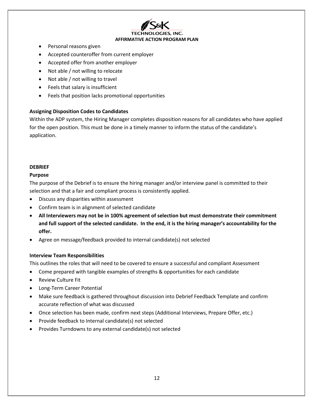

- Personal reasons given
- Accepted counteroffer from current employer
- Accepted offer from another employer
- Not able / not willing to relocate
- Not able / not willing to travel
- Feels that salary is insufficient
- Feels that position lacks promotional opportunities

# **Assigning Disposition Codes to Candidates**

Within the ADP system, the Hiring Manager completes disposition reasons for all candidates who have applied for the open position. This must be done in a timely manner to inform the status of the candidate's application.

# **DEBRIEF**

# **Purpose**

The purpose of the Debrief is to ensure the hiring manager and/or interview panel is committed to their selection and that a fair and compliant process is consistently applied.

- Discuss any disparities within assessment
- Confirm team is in alignment of selected candidate
- **All Interviewers may not be in 100% agreement of selection but must demonstrate their commitment and full support of the selected candidate. In the end, it is the hiring manager's accountability for the offer.**
- Agree on message/feedback provided to internal candidate(s) not selected

# **Interview Team Responsibilities**

This outlines the roles that will need to be covered to ensure a successful and compliant Assessment

- Come prepared with tangible examples of strengths & opportunities for each candidate
- Review Culture Fit
- Long-Term Career Potential
- Make sure feedback is gathered throughout discussion into Debrief Feedback Template and confirm accurate reflection of what was discussed
- Once selection has been made, confirm next steps (Additional Interviews, Prepare Offer, etc.)
- Provide feedback to Internal candidate(s) not selected
- Provides Turndowns to any external candidate(s) not selected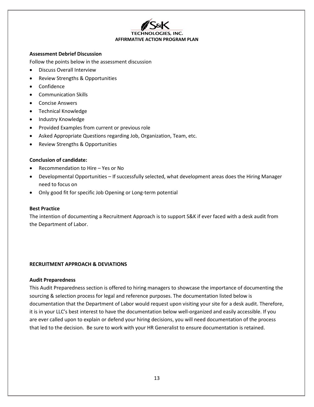

#### **Assessment Debrief Discussion**

Follow the points below in the assessment discussion

- Discuss Overall Interview
- Review Strengths & Opportunities
- Confidence
- Communication Skills
- Concise Answers
- Technical Knowledge
- Industry Knowledge
- Provided Examples from current or previous role
- Asked Appropriate Questions regarding Job, Organization, Team, etc.
- Review Strengths & Opportunities

### **Conclusion of candidate:**

- Recommendation to Hire Yes or No
- Developmental Opportunities If successfully selected, what development areas does the Hiring Manager need to focus on
- Only good fit for specific Job Opening or Long-term potential

#### **Best Practice**

The intention of documenting a Recruitment Approach is to support S&K if ever faced with a desk audit from the Department of Labor.

#### **RECRUITMENT APPROACH & DEVIATIONS**

#### **Audit Preparedness**

This Audit Preparedness section is offered to hiring managers to showcase the importance of documenting the sourcing & selection process for legal and reference purposes. The documentation listed below is documentation that the Department of Labor would request upon visiting your site for a desk audit. Therefore, it is in your LLC's best interest to have the documentation below well-organized and easily accessible. If you are ever called upon to explain or defend your hiring decisions, you will need documentation of the process that led to the decision. Be sure to work with your HR Generalist to ensure documentation is retained.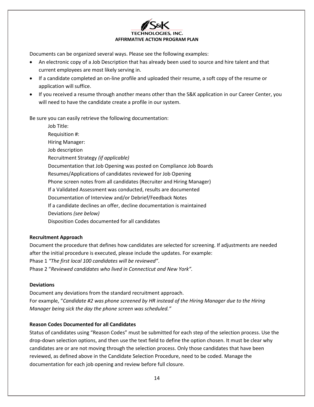

Documents can be organized several ways. Please see the following examples:

- An electronic copy of a Job Description that has already been used to source and hire talent and that current employees are most likely serving in.
- If a candidate completed an on-line profile and uploaded their resume, a soft copy of the resume or application will suffice.
- If you received a resume through another means other than the S&K application in our Career Center, you will need to have the candidate create a profile in our system.

Be sure you can easily retrieve the following documentation:

Job Title: Requisition #: Hiring Manager: Job description Recruitment Strategy *(if applicable)* Documentation that Job Opening was posted on Compliance Job Boards Resumes/Applications of candidates reviewed for Job Opening Phone screen notes from all candidates (Recruiter and Hiring Manager) If a Validated Assessment was conducted, results are documented Documentation of Interview and/or Debrief/Feedback Notes If a candidate declines an offer, decline documentation is maintained Deviations *(see below)* Disposition Codes documented for all candidates

# **Recruitment Approach**

Document the procedure that defines how candidates are selected for screening. If adjustments are needed after the initial procedure is executed, please include the updates. For example: Phase 1 *"The first local 100 candidates will be reviewed"*. Phase 2 "*Reviewed candidates who lived in Connecticut and New York".*

#### **Deviations**

Document any deviations from the standard recruitment approach. For example, "*Candidate #2 was phone screened by HR instead of the Hiring Manager due to the Hiring Manager being sick the day the phone screen was scheduled."*

# **Reason Codes Documented for all Candidates**

Status of candidates using "Reason Codes" must be submitted for each step of the selection process. Use the drop-down selection options, and then use the text field to define the option chosen. It must be clear why candidates are or are not moving through the selection process. Only those candidates that have been reviewed, as defined above in the Candidate Selection Procedure, need to be coded. Manage the documentation for each job opening and review before full closure.